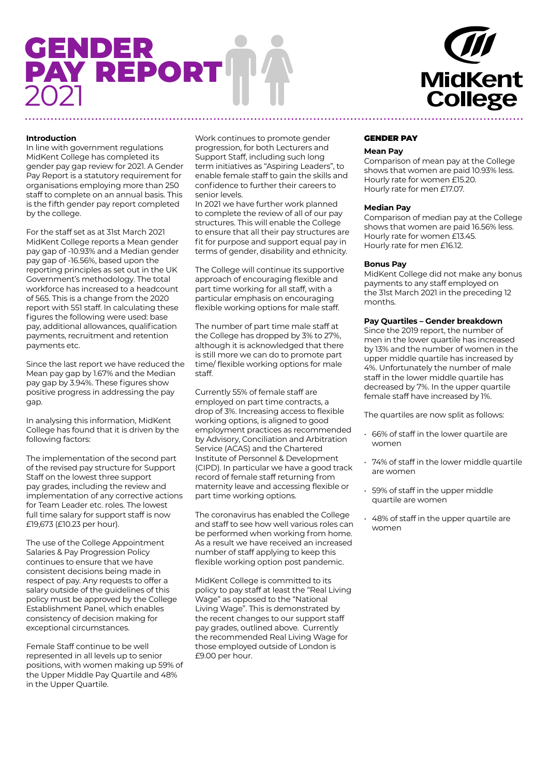# GENDER PAY REPORT 2021

# **MidKent College**

### **Introduction**

In line with government regulations MidKent College has completed its gender pay gap review for 2021. A Gender Pay Report is a statutory requirement for organisations employing more than 250 staff to complete on an annual basis. This is the fifth gender pay report completed by the college.

For the staff set as at 31st March 2021 MidKent College reports a Mean gender pay gap of -10.93% and a Median gender pay gap of -16.56%, based upon the reporting principles as set out in the UK Government's methodology. The total workforce has increased to a headcount of 565. This is a change from the 2020 report with 551 staff. In calculating these figures the following were used: base pay, additional allowances, qualification payments, recruitment and retention payments etc.

Since the last report we have reduced the Mean pay gap by 1.67% and the Median pay gap by 3.94%. These figures show positive progress in addressing the pay gap.

In analysing this information, MidKent College has found that it is driven by the following factors:

The implementation of the second part of the revised pay structure for Support Staff on the lowest three support pay grades, including the review and implementation of any corrective actions for Team Leader etc. roles. The lowest full time salary for support staff is now £19,673 (£10.23 per hour).

The use of the College Appointment Salaries & Pay Progression Policy continues to ensure that we have consistent decisions being made in respect of pay. Any requests to offer a salary outside of the guidelines of this policy must be approved by the College Establishment Panel, which enables consistency of decision making for exceptional circumstances.

Female Staff continue to be well represented in all levels up to senior positions, with women making up 59% of the Upper Middle Pay Quartile and 48% in the Upper Quartile.

Work continues to promote gender progression, for both Lecturers and Support Staff, including such long term initiatives as "Aspiring Leaders", to enable female staff to gain the skills and confidence to further their careers to senior levels.

In 2021 we have further work planned to complete the review of all of our pay structures. This will enable the College to ensure that all their pay structures are fit for purpose and support equal pay in terms of gender, disability and ethnicity.

The College will continue its supportive approach of encouraging flexible and part time working for all staff, with a particular emphasis on encouraging flexible working options for male staff.

The number of part time male staff at the College has dropped by 3% to 27%, although it is acknowledged that there is still more we can do to promote part time/ flexible working options for male staff.

Currently 55% of female staff are employed on part time contracts, a drop of 3%. Increasing access to flexible working options, is aligned to good employment practices as recommended by Advisory, Conciliation and Arbitration Service (ACAS) and the Chartered Institute of Personnel & Development (CIPD). In particular we have a good track record of female staff returning from maternity leave and accessing flexible or part time working options.

The coronavirus has enabled the College and staff to see how well various roles can be performed when working from home. As a result we have received an increased number of staff applying to keep this flexible working option post pandemic.

MidKent College is committed to its policy to pay staff at least the "Real Living Wage" as opposed to the "National Living Wage". This is demonstrated by the recent changes to our support staff pay grades, outlined above. Currently the recommended Real Living Wage for those employed outside of London is £9.00 per hour.

#### GENDER PAY

#### **Mean Pay**

Comparison of mean pay at the College shows that women are paid 10.93% less. Hourly rate for women £15.20. Hourly rate for men £17.07.

#### **Median Pay**

Comparison of median pay at the College shows that women are paid 16.56% less. Hourly rate for women £13.45. Hourly rate for men £16.12.

#### **Bonus Pay**

MidKent College did not make any bonus payments to any staff employed on the 31st March 2021 in the preceding 12 months.

#### **Pay Quartiles – Gender breakdown**

Since the 2019 report, the number of men in the lower quartile has increased by 13% and the number of women in the upper middle quartile has increased by 4%. Unfortunately the number of male staff in the lower middle quartile has decreased by 7%. In the upper quartile female staff have increased by 1%.

The quartiles are now split as follows:

- 66% of staff in the lower quartile are women
- 74% of staff in the lower middle quartile are women
- 59% of staff in the upper middle quartile are women
- 48% of staff in the upper quartile are women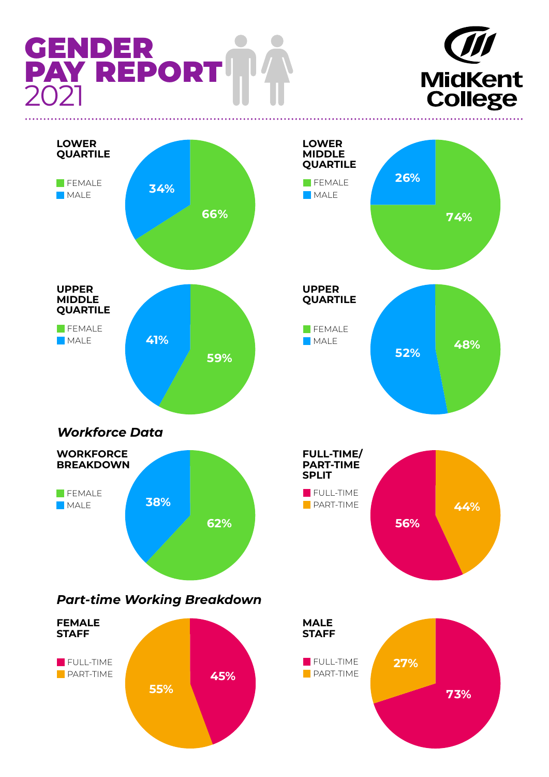